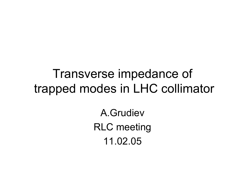# Transverse impedance of trapped modes in LHC collimator

A.GrudievRLC meeting 11.02.05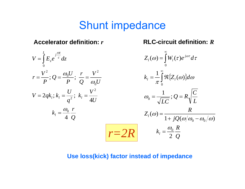## Shunt impedance

#### **Accelerator definition:** *r*



### **RLC-circuit definition:**  *R*

$$
Z_{l}(\omega) = \int_{0}^{\infty} W_{l}(\tau)e^{j\omega\tau}d\tau
$$

$$
k_{l} = \frac{1}{\pi} \int_{0}^{\infty} \Re\{Z_{l}(\omega)\}d\omega
$$

$$
\omega_{0} = \frac{1}{\sqrt{LC}}; Q = R\sqrt{\frac{C}{L}}
$$

$$
Z_{l}(\omega) = \frac{R}{1 + jQ(\omega/\omega_{0} - \omega_{0}/\omega)}
$$

$$
k_{l} = \frac{\omega_{0}}{2}\frac{R}{Q}
$$

#### **Use loss(kick) factor instead of impedance**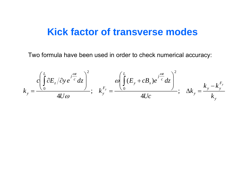### **Kick factor of transverse modes**

Two formula have been used in order to check numerical accuracy:

$$
k_{y} = \frac{c \left(\int_{0}^{L} \partial E_{z} / \partial y e^{-j\frac{\omega z}{c}} dz\right)^{2}}{4U\omega}; \quad k_{y}^{F_{y}} = \frac{\omega \left(\int_{0}^{L} (E_{y} + cB_{x}) e^{-j\frac{\omega z}{c}} dz\right)^{2}}{4Uc}; \quad \Delta k_{y} = \frac{k_{y} - k_{y}^{F_{y}}}{k_{y}}
$$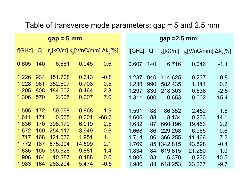### Table of transverse mode parameters: gap = 5 and 2.5 mm

| $gap = 5 mm$ |              |                                                                 |        |         | $gap = 2.5 mm$ |              |             |                                                           |         |
|--------------|--------------|-----------------------------------------------------------------|--------|---------|----------------|--------------|-------------|-----------------------------------------------------------|---------|
| f[GHz]       | $\mathsf{Q}$ | $r_{\rm v}$ [kΩ/m] k <sub>v</sub> [V/nC/mm] Δk <sub>v</sub> [%] |        |         | f[GHz]         | $\mathsf{Q}$ |             | $r_v$ [kΩ/m] k <sub>v</sub> [V/nC/mm] Δk <sub>v</sub> [%] |         |
| 0.605        | 140          | 6.681                                                           | 0.045  | 0.6     | 0.607          | 140          | 6.716       | 0.046                                                     | $-1.1$  |
| 1.226        | 934          | 151.708                                                         | 0.313  | $-0.8$  | 1.237          | 940          | 114.625     | 0.237                                                     | $-0.8$  |
| 1.228        | 961          | 352.507                                                         | 0.708  | 0.5     | 1.238          | 990          | 582.435     | 1.144                                                     | 0.2     |
| 1.295        | 808          | 184.502                                                         | 0.464  | 2.8     | 1.297          | 830          | 218.303     | 0.536                                                     | $-2.5$  |
| 1.306        | 570          | 2.005                                                           | 0.007  | 7.0     | 1.311          | 600          | 0.653       | 0.002                                                     | $-15.4$ |
| 1.595        | 172          | 59.568                                                          | 0.868  | 1.9     | 1.591          | 88           | 86.352      | 2.452                                                     | 1.6     |
| 1.611        | 171          | 0.065                                                           | 0.001  | $-68.6$ | 1.606          | 88           | 8.134       | 0.233                                                     | 14.1    |
| 1.636        | 170          | 398.170                                                         | 6.019  | 2.5     | 1.632          | 87           | 660.196     | 19.453                                                    | 2.2     |
| 1.672        | 169          | 254.117                                                         | 3.949  | 0.6     | 1.668          | 86           | 229.258     | 6.985                                                     | 0.6     |
| 1.717        | 168          | 121.536                                                         | 1.951  | 4.1     | 1.714          | 86           | 366.255     | 11.466                                                    | 7.2     |
| 1.772        | 167          | 875.904                                                         | 14.599 | 2.1     | 1.769          |              | 85 1342.815 | 43.898                                                    | $-0.4$  |
| 1.835        | 165          | 565.628                                                         | 9.881  | 1.4     | 1.834          | 84           | 619.615     | 21.250                                                    | 1.0     |
| 1.906        | 164          | 10.287                                                          | 0.188  | 0.6     | 1.906          | 83           | 6.370       | 0.230                                                     | 10.5    |
| 1.983        | 164          | 288.204                                                         | 5.474  | $-0.6$  | 1.986          | 83           | 618.253     | 23.237                                                    | $-9.7$  |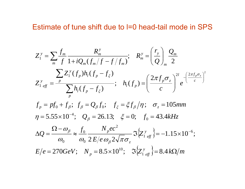#### Estimate of tune shift due to l=0 head-tail mode in SPS

$$
Z_{1}^{y} = \sum_{m} \frac{f_{m}}{f} \frac{R_{m}^{y}}{1 + iQ_{m}(f_{m}/f - f/f_{m})}; \quad R_{m}^{y} = \left(\frac{r_{y}}{Q}\right)_{m} \frac{Q_{m}}{2}
$$
  
\n
$$
Z_{1 \text{ eff}}^{y} = \frac{\sum_{p} Z_{1}^{y}(f_{p})h_{1}(f_{p} - f_{\xi})}{\sum_{p} h_{1}(f_{p} - f_{\xi})}; \quad h_{1}(f_{p}) = \left(\frac{2\pi f_{p}\sigma_{z}}{c}\right)^{2l} e^{-\left(\frac{2\pi f_{p}\sigma_{z}}{c}\right)^{2l}}
$$
  
\n
$$
f_{p} = pf_{0} + f_{\beta}; \quad f_{\beta} = Q_{\beta}f_{0}; \quad f_{\xi} = \xi f_{\beta}/\eta; \quad \sigma_{z} = 105mm
$$
  
\n
$$
\eta = 5.55 \times 10^{-4}; \quad Q_{\beta} = 26.13; \quad \xi = 0; \quad f_{0} = 43.4kHz
$$
  
\n
$$
\Delta Q = \frac{\Omega - \omega_{\beta}}{\omega_{0}} \approx \frac{f_{0}}{\omega_{0}} \frac{N_{p}ec^{2}}{2E/e\omega_{\beta}2\sqrt{\pi}\sigma_{z}} \Im\{Z_{1 \text{ eff}}^{y}\} = -1.15 \times 10^{-6};
$$
  
\n
$$
E/e = 270GeV; \quad N_{p} = 8.5 \times 10^{10}; \quad \Im\{Z_{1 \text{ eff}}^{y}\} = 8.4 k\Omega/m
$$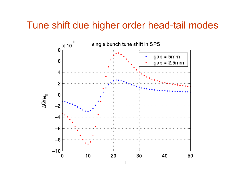### Tune shift due higher order head-tail modes